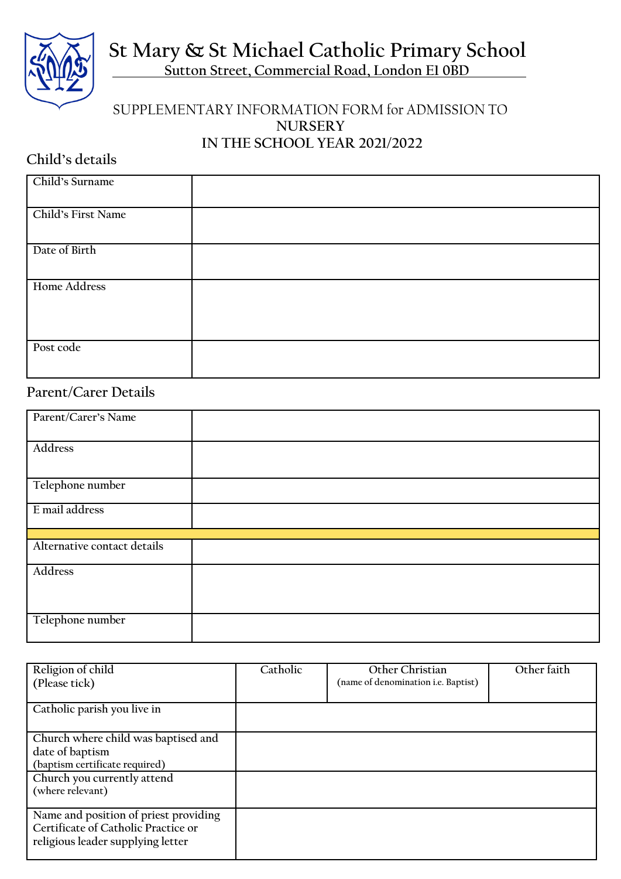**St Mary & St Michael Catholic Primary School**

 **Sutton Street, Commercial Road, London E1 0BD**

## SUPPLEMENTARY INFORMATION FORM for ADMISSION TO **NURSERY IN THE SCHOOL YEAR 2021/2022**

## **Child's details**

| Child's Surname     |  |
|---------------------|--|
| Child's First Name  |  |
| Date of Birth       |  |
| <b>Home Address</b> |  |
| Post code           |  |

## **Parent/Carer Details**

| Parent/Carer's Name         |  |  |  |
|-----------------------------|--|--|--|
| Address                     |  |  |  |
| Telephone number            |  |  |  |
| E mail address              |  |  |  |
|                             |  |  |  |
| Alternative contact details |  |  |  |
| Address                     |  |  |  |
| Telephone number            |  |  |  |

| Religion of child<br>(Please tick)                                                                                | Catholic | Other Christian<br>(name of denomination i.e. Baptist) | Other faith |
|-------------------------------------------------------------------------------------------------------------------|----------|--------------------------------------------------------|-------------|
| Catholic parish you live in                                                                                       |          |                                                        |             |
| Church where child was baptised and<br>date of baptism<br>(baptism certificate required)                          |          |                                                        |             |
| Church you currently attend<br>(where relevant)                                                                   |          |                                                        |             |
| Name and position of priest providing<br>Certificate of Catholic Practice or<br>religious leader supplying letter |          |                                                        |             |